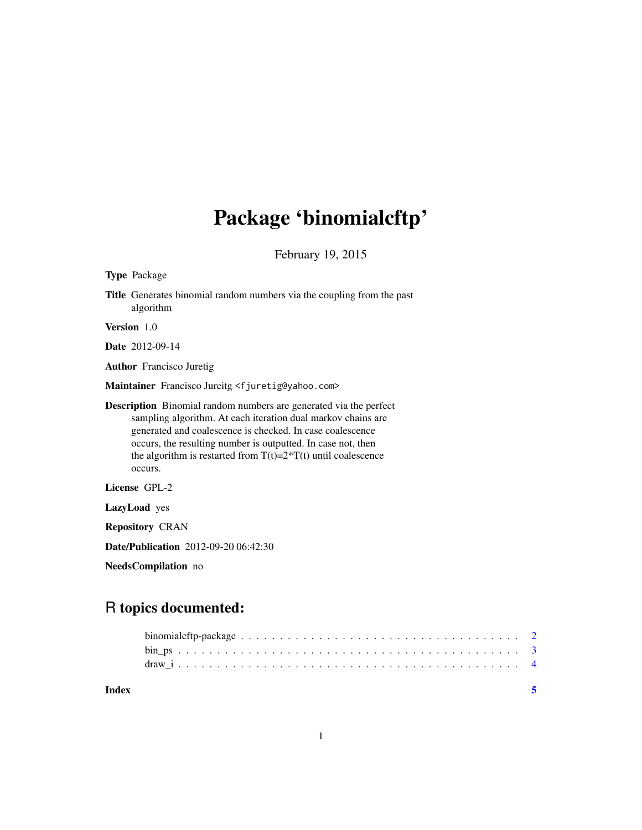## Package 'binomialcftp'

February 19, 2015

| <b>Type Package</b>                                                                                                                                                                                                                                                                                                                                       |  |  |
|-----------------------------------------------------------------------------------------------------------------------------------------------------------------------------------------------------------------------------------------------------------------------------------------------------------------------------------------------------------|--|--|
| <b>Title</b> Generates binomial random numbers via the coupling from the past<br>algorithm                                                                                                                                                                                                                                                                |  |  |
| Version 1.0                                                                                                                                                                                                                                                                                                                                               |  |  |
| <b>Date</b> 2012-09-14                                                                                                                                                                                                                                                                                                                                    |  |  |
| <b>Author</b> Francisco Juretig                                                                                                                                                                                                                                                                                                                           |  |  |
| Maintainer Francisco Jureitg <fjuretig@yahoo.com></fjuretig@yahoo.com>                                                                                                                                                                                                                                                                                    |  |  |
| <b>Description</b> Binomial random numbers are generated via the perfect<br>sampling algorithm. At each iteration dual markov chains are<br>generated and coalescence is checked. In case coalescence<br>occurs, the resulting number is outputted. In case not, then<br>the algorithm is restarted from $T(t)=2^{\ast}T(t)$ until coalescence<br>occurs. |  |  |
| License GPL-2                                                                                                                                                                                                                                                                                                                                             |  |  |
| LazyLoad yes                                                                                                                                                                                                                                                                                                                                              |  |  |
| <b>Repository CRAN</b>                                                                                                                                                                                                                                                                                                                                    |  |  |
| <b>Date/Publication</b> 2012-09-20 06:42:30                                                                                                                                                                                                                                                                                                               |  |  |
| NeedsCompilation no                                                                                                                                                                                                                                                                                                                                       |  |  |
|                                                                                                                                                                                                                                                                                                                                                           |  |  |
|                                                                                                                                                                                                                                                                                                                                                           |  |  |

## R topics documented:

| Index |  |
|-------|--|
|       |  |
|       |  |
|       |  |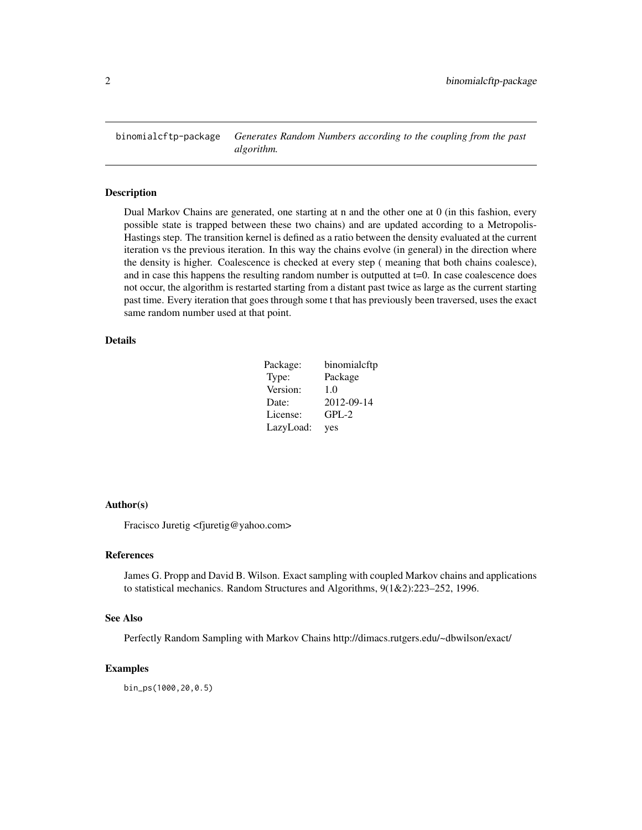<span id="page-1-0"></span>binomialcftp-package *Generates Random Numbers according to the coupling from the past algorithm.*

#### Description

Dual Markov Chains are generated, one starting at n and the other one at 0 (in this fashion, every possible state is trapped between these two chains) and are updated according to a Metropolis-Hastings step. The transition kernel is defined as a ratio between the density evaluated at the current iteration vs the previous iteration. In this way the chains evolve (in general) in the direction where the density is higher. Coalescence is checked at every step ( meaning that both chains coalesce), and in case this happens the resulting random number is outputted at  $t=0$ . In case coalescence does not occur, the algorithm is restarted starting from a distant past twice as large as the current starting past time. Every iteration that goes through some t that has previously been traversed, uses the exact same random number used at that point.

## Details

| Package:  | binomialcftp |
|-----------|--------------|
| Type:     | Package      |
| Version:  | 1.0          |
| Date:     | 2012-09-14   |
| License:  | $GPL-2$      |
| LazyLoad: | yes          |

#### Author(s)

Fracisco Juretig <fjuretig@yahoo.com>

#### References

James G. Propp and David B. Wilson. Exact sampling with coupled Markov chains and applications to statistical mechanics. Random Structures and Algorithms, 9(1&2):223–252, 1996.

#### See Also

Perfectly Random Sampling with Markov Chains http://dimacs.rutgers.edu/~dbwilson/exact/

#### Examples

bin\_ps(1000,20,0.5)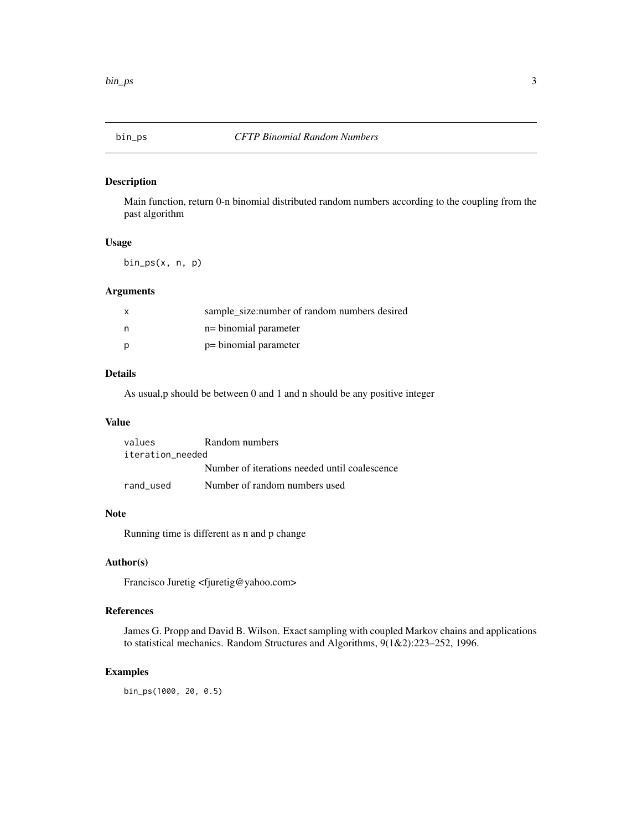<span id="page-2-0"></span>

## Description

Main function, return 0-n binomial distributed random numbers according to the coupling from the past algorithm

### Usage

bin\_ps(x, n, p)

## Arguments

| $\mathsf{x}$ | sample_size:number of random numbers desired |
|--------------|----------------------------------------------|
| n            | n= binomial parameter                        |
| p            | p= binomial parameter                        |

#### Details

As usual,p should be between 0 and 1 and n should be any positive integer

#### Value

| values           | Random numbers                                |  |  |  |
|------------------|-----------------------------------------------|--|--|--|
| iteration needed |                                               |  |  |  |
|                  | Number of iterations needed until coalescence |  |  |  |
| rand used        | Number of random numbers used                 |  |  |  |

#### Note

Running time is different as n and p change

## Author(s)

Francisco Juretig <fjuretig@yahoo.com>

## References

James G. Propp and David B. Wilson. Exact sampling with coupled Markov chains and applications to statistical mechanics. Random Structures and Algorithms, 9(1&2):223–252, 1996.

#### Examples

bin\_ps(1000, 20, 0.5)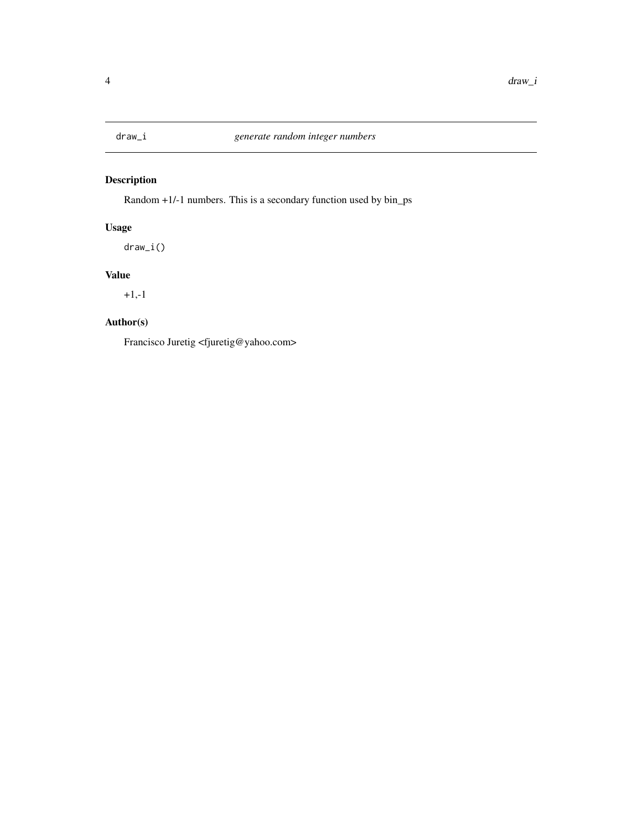<span id="page-3-0"></span>

## Description

Random +1/-1 numbers. This is a secondary function used by bin\_ps

## Usage

draw\_i()

## Value

+1,-1

## Author(s)

Francisco Juretig <fjuretig@yahoo.com>